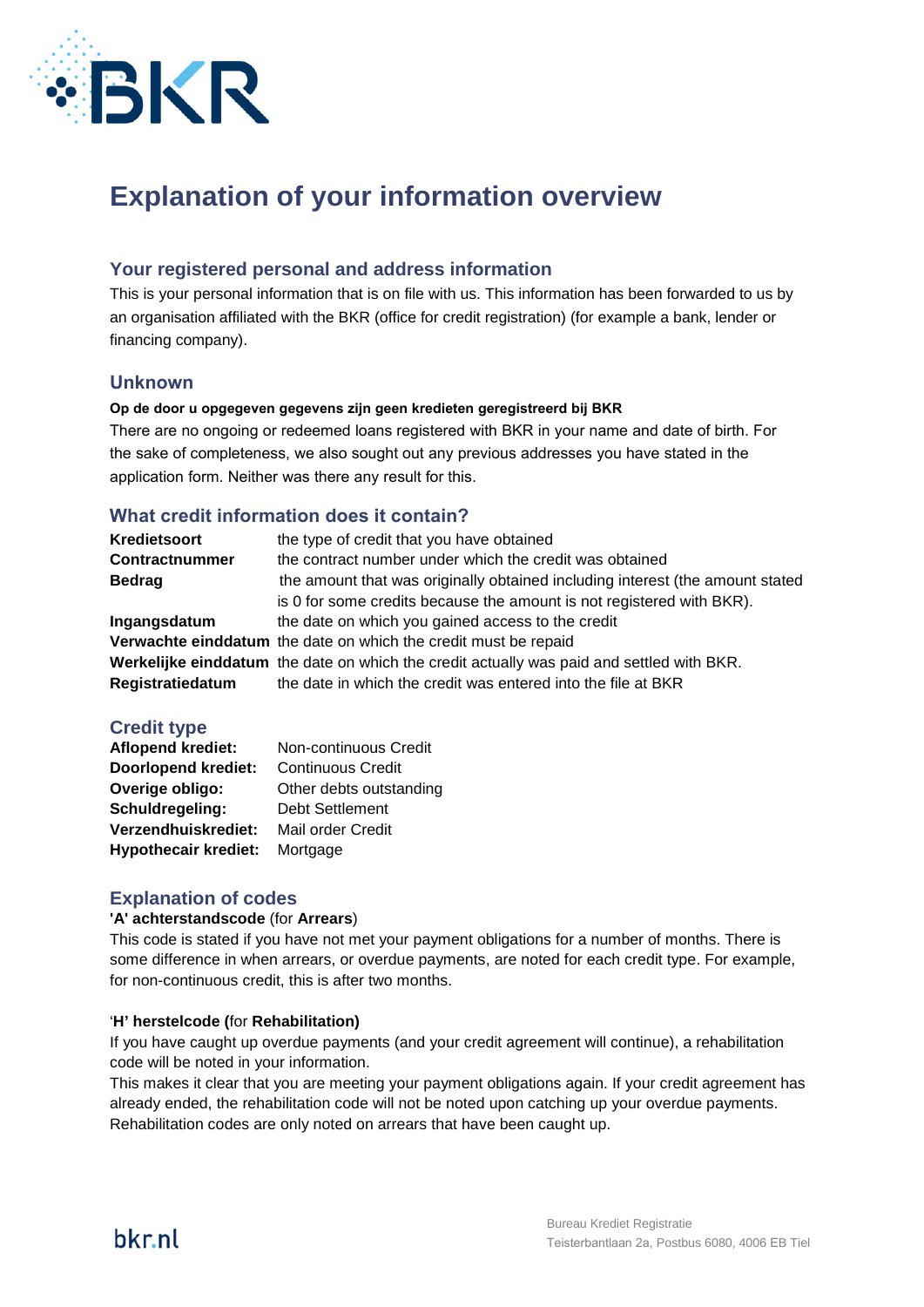

# **Explanation of your information overview**

# **Your registered personal and address information**

This is your personal information that is on file with us. This information has been forwarded to us by an organisation affiliated with the BKR (office for credit registration) (for example a bank, lender or financing company).

### **Unknown**

#### **Op de door u opgegeven gegevens zijn geen kredieten geregistreerd bij BKR**

There are no ongoing or redeemed loans registered with BKR in your name and date of birth. For the sake of completeness, we also sought out any previous addresses you have stated in the application form. Neither was there any result for this.

## **What credit information does it contain?**

| Kredietsoort     | the type of credit that you have obtained                                                 |  |
|------------------|-------------------------------------------------------------------------------------------|--|
| Contractnummer   | the contract number under which the credit was obtained                                   |  |
| <b>Bedrag</b>    | the amount that was originally obtained including interest (the amount stated             |  |
|                  | is 0 for some credits because the amount is not registered with BKR).                     |  |
| Ingangsdatum     | the date on which you gained access to the credit                                         |  |
|                  | Verwachte einddatum the date on which the credit must be repaid                           |  |
|                  | Werkelijke einddatum the date on which the credit actually was paid and settled with BKR. |  |
| Registratiedatum | the date in which the credit was entered into the file at BKR                             |  |

## **Credit type**

| <b>Aflopend krediet:</b>    | Non-continuous Credit    |
|-----------------------------|--------------------------|
| <b>Doorlopend krediet:</b>  | <b>Continuous Credit</b> |
| Overige obligo:             | Other debts outstanding  |
| Schuldregeling:             | Debt Settlement          |
| Verzendhuiskrediet:         | Mail order Credit        |
| <b>Hypothecair krediet:</b> | Mortgage                 |

## **Explanation of codes**

#### **'A' achterstandscode** (for **Arrears**)

This code is stated if you have not met your payment obligations for a number of months. There is some difference in when arrears, or overdue payments, are noted for each credit type. For example, for non-continuous credit, this is after two months.

#### '**H' herstelcode (**for **Rehabilitation)**

If you have caught up overdue payments (and your credit agreement will continue), a rehabilitation code will be noted in your information.

This makes it clear that you are meeting your payment obligations again. If your credit agreement has already ended, the rehabilitation code will not be noted upon catching up your overdue payments. Rehabilitation codes are only noted on arrears that have been caught up.